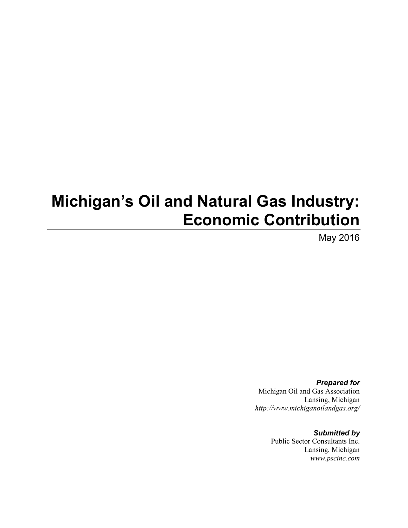# **Michigan's Oil and Natural Gas Industry: Economic Contribution**

May 2016

*Prepared for* Michigan Oil and Gas Association Lansing, Michigan *http://www.michiganoilandgas.org/*

> *Submitted by* Public Sector Consultants Inc. Lansing, Michigan *www.pscinc.com*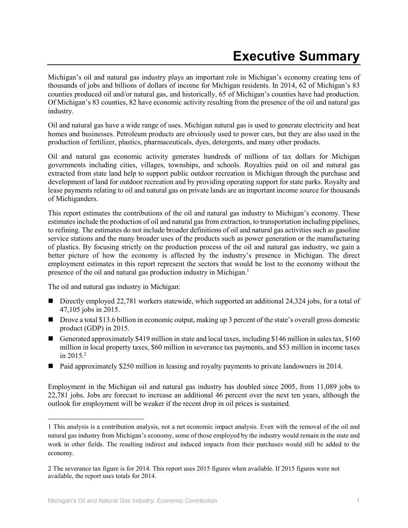Michigan's oil and natural gas industry plays an important role in Michigan's economy creating tens of thousands of jobs and billions of dollars of income for Michigan residents. In 2014, 62 of Michigan's 83 counties produced oil and/or natural gas, and historically, 65 of Michigan's counties have had production. Of Michigan's 83 counties, 82 have economic activity resulting from the presence of the oil and natural gas industry.

Oil and natural gas have a wide range of uses. Michigan natural gas is used to generate electricity and heat homes and businesses. Petroleum products are obviously used to power cars, but they are also used in the production of fertilizer, plastics, pharmaceuticals, dyes, detergents, and many other products.

Oil and natural gas economic activity generates hundreds of millions of tax dollars for Michigan governments including cities, villages, townships, and schools. Royalties paid on oil and natural gas extracted from state land help to support public outdoor recreation in Michigan through the purchase and development of land for outdoor recreation and by providing operating support for state parks. Royalty and lease payments relating to oil and natural gas on private lands are an important income source for thousands of Michiganders.

This report estimates the contributions of the oil and natural gas industry to Michigan's economy. These estimates include the production of oil and natural gas from extraction, to transportation including pipelines, to refining. The estimates do not include broader definitions of oil and natural gas activities such as gasoline service stations and the many broader uses of the products such as power generation or the manufacturing of plastics. By focusing strictly on the production process of the oil and natural gas industry, we gain a better picture of how the economy is affected by the industry's presence in Michigan. The direct employment estimates in this report represent the sectors that would be lost to the economy without the presence of the oil and natural gas production industry in Michigan. 1

The oil and natural gas industry in Michigan:

 $\overline{\phantom{a}}$ 

- Directly employed 22,781 workers statewide, which supported an additional 24,324 jobs, for a total of 47,105 jobs in 2015.
- Drove a total \$13.6 billion in economic output, making up 3 percent of the state's overall gross domestic product (GDP) in 2015.
- Generated approximately \$419 million in state and local taxes, including \$146 million in sales tax, \$160 million in local property taxes, \$60 million in severance tax payments, and \$53 million in income taxes in 2015. 2
- Paid approximately \$250 million in leasing and royalty payments to private landowners in 2014.

Employment in the Michigan oil and natural gas industry has doubled since 2005, from 11,089 jobs to 22,781 jobs. Jobs are forecast to increase an additional 46 percent over the next ten years, although the outlook for employment will be weaker if the recent drop in oil prices is sustained.

<sup>1</sup> This analysis is a contribution analysis, not a net economic impact analysis. Even with the removal of the oil and natural gas industry from Michigan's economy, some of those employed by the industry would remain in the state and work in other fields. The resulting indirect and induced impacts from their purchases would still be added to the economy.

<sup>2</sup> The severance tax figure is for 2014. This report uses 2015 figures when available. If 2015 figures were not available, the report uses totals for 2014.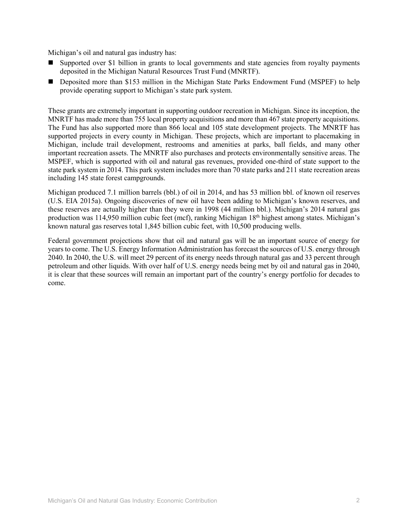Michigan's oil and natural gas industry has:

- Supported over \$1 billion in grants to local governments and state agencies from royalty payments deposited in the Michigan Natural Resources Trust Fund (MNRTF).
- **Deposited more than \$153 million in the Michigan State Parks Endowment Fund (MSPEF) to help** provide operating support to Michigan's state park system.

These grants are extremely important in supporting outdoor recreation in Michigan. Since its inception, the MNRTF has made more than 755 local property acquisitions and more than 467 state property acquisitions. The Fund has also supported more than 866 local and 105 state development projects. The MNRTF has supported projects in every county in Michigan. These projects, which are important to placemaking in Michigan, include trail development, restrooms and amenities at parks, ball fields, and many other important recreation assets. The MNRTF also purchases and protects environmentally sensitive areas. The MSPEF, which is supported with oil and natural gas revenues, provided one-third of state support to the state park system in 2014. This park system includes more than 70 state parks and 211 state recreation areas including 145 state forest campgrounds.

Michigan produced 7.1 million barrels (bbl.) of oil in 2014, and has 53 million bbl. of known oil reserves (U.S. EIA 2015a). Ongoing discoveries of new oil have been adding to Michigan's known reserves, and these reserves are actually higher than they were in 1998 (44 million bbl.). Michigan's 2014 natural gas production was 114,950 million cubic feet (mcf), ranking Michigan 18th highest among states. Michigan's known natural gas reserves total 1,845 billion cubic feet, with 10,500 producing wells.

Federal government projections show that oil and natural gas will be an important source of energy for years to come. The U.S. Energy Information Administration has forecast the sources of U.S. energy through 2040. In 2040, the U.S. will meet 29 percent of its energy needs through natural gas and 33 percent through petroleum and other liquids. With over half of U.S. energy needs being met by oil and natural gas in 2040, it is clear that these sources will remain an important part of the country's energy portfolio for decades to come.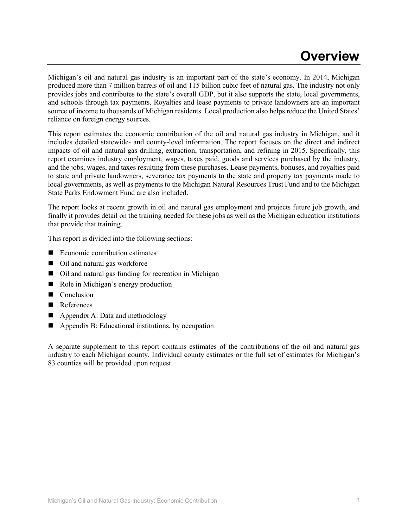## **Overview**

Michigan's oil and natural gas industry is an important part of the state's economy. In 2014, Michigan produced more than 7 million barrels of oil and 115 billion cubic feet of natural gas. The industry not only provides jobs and contributes to the state's overall GDP, but it also supports the state, local governments, and schools through tax payments. Royalties and lease payments to private landowners are an important source of income to thousands of Michigan residents. Local production also helps reduce the United States' reliance on foreign energy sources.

This report estimates the economic contribution of the oil and natural gas industry in Michigan, and it includes detailed statewide- and county-level information. The report focuses on the direct and indirect impacts of oil and natural gas drilling, extraction, transportation, and refining in 2015. Specifically, this report examines industry employment, wages, taxes paid, goods and services purchased by the industry, and the jobs, wages, and taxes resulting from these purchases. Lease payments, bonuses, and royalties paid to state and private landowners, severance tax payments to the state and property tax payments made to local governments, as well as payments to the Michigan Natural Resources Trust Fund and to the Michigan State Parks Endowment Fund are also included.

The report looks at recent growth in oil and natural gas employment and projects future job growth, and finally it provides detail on the training needed for these jobs as well as the Michigan education institutions that provide that training.

This report is divided into the following sections:

- Economic contribution estimates
- Oil and natural gas workforce
- Oil and natural gas funding for recreation in Michigan
- Role in Michigan's energy production
- $\Box$  Conclusion
- References
- $\blacksquare$  Appendix A: Data and methodology
- Appendix B: Educational institutions, by occupation

A separate supplement to this report contains estimates of the contributions of the oil and natural gas industry to each Michigan county. Individual county estimates or the full set of estimates for Michigan's 83 counties will be provided upon request.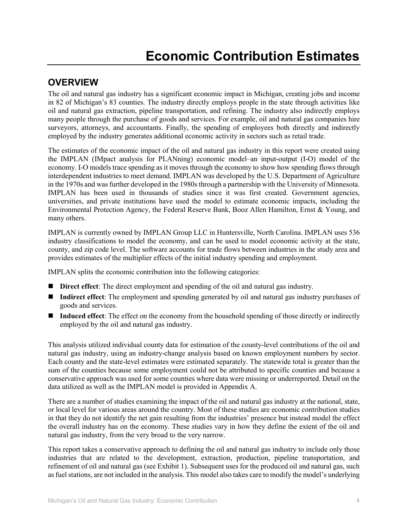## **Economic Contribution Estimates**

## **OVERVIEW**

The oil and natural gas industry has a significant economic impact in Michigan, creating jobs and income in 82 of Michigan's 83 counties. The industry directly employs people in the state through activities like oil and natural gas extraction, pipeline transportation, and refining. The industry also indirectly employs many people through the purchase of goods and services. For example, oil and natural gas companies hire surveyors, attorneys, and accountants. Finally, the spending of employees both directly and indirectly employed by the industry generates additional economic activity in sectors such as retail trade.

The estimates of the economic impact of the oil and natural gas industry in this report were created using the IMPLAN (IMpact analysis for PLANning) economic model–an input-output (I-O) model of the economy. I-O models trace spending as it moves through the economy to show how spending flows through interdependent industries to meet demand. IMPLAN was developed by the U.S. Department of Agriculture in the 1970s and was further developed in the 1980s through a partnership with the University of Minnesota. IMPLAN has been used in thousands of studies since it was first created. Government agencies, universities, and private institutions have used the model to estimate economic impacts, including the Environmental Protection Agency, the Federal Reserve Bank, Booz Allen Hamilton, Ernst & Young, and many others.

IMPLAN is currently owned by IMPLAN Group LLC in Huntersville, North Carolina. IMPLAN uses 536 industry classifications to model the economy, and can be used to model economic activity at the state, county, and zip code level. The software accounts for trade flows between industries in the study area and provides estimates of the multiplier effects of the initial industry spending and employment.

IMPLAN splits the economic contribution into the following categories:

- **Direct effect**: The direct employment and spending of the oil and natural gas industry.
- **Indirect effect**: The employment and spending generated by oil and natural gas industry purchases of goods and services.
- **Induced effect**: The effect on the economy from the household spending of those directly or indirectly employed by the oil and natural gas industry.

This analysis utilized individual county data for estimation of the county-level contributions of the oil and natural gas industry, using an industry-change analysis based on known employment numbers by sector. Each county and the state-level estimates were estimated separately. The statewide total is greater than the sum of the counties because some employment could not be attributed to specific counties and because a conservative approach was used for some counties where data were missing or underreported. Detail on the data utilized as well as the IMPLAN model is provided in Appendix A.

There are a number of studies examining the impact of the oil and natural gas industry at the national, state, or local level for various areas around the country. Most of these studies are economic contribution studies in that they do not identify the net gain resulting from the industries' presence but instead model the effect the overall industry has on the economy. These studies vary in how they define the extent of the oil and natural gas industry, from the very broad to the very narrow.

This report takes a conservative approach to defining the oil and natural gas industry to include only those industries that are related to the development, extraction, production, pipeline transportation, and refinement of oil and natural gas (see Exhibit 1). Subsequent uses for the produced oil and natural gas, such as fuel stations, are not included in the analysis. This model also takes care to modify the model's underlying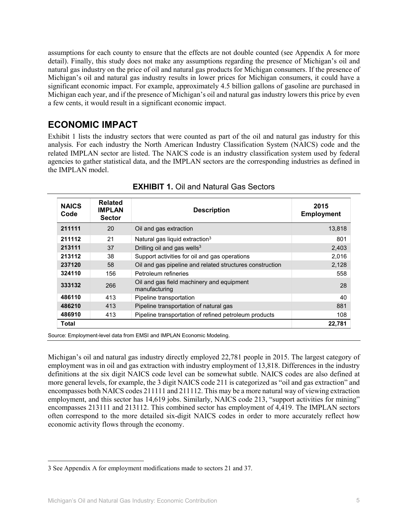assumptions for each county to ensure that the effects are not double counted (see Appendix A for more detail). Finally, this study does not make any assumptions regarding the presence of Michigan's oil and natural gas industry on the price of oil and natural gas products for Michigan consumers. If the presence of Michigan's oil and natural gas industry results in lower prices for Michigan consumers, it could have a significant economic impact. For example, approximately 4.5 billion gallons of gasoline are purchased in Michigan each year, and if the presence of Michigan's oil and natural gas industry lowers this price by even a few cents, it would result in a significant economic impact.

## **ECONOMIC IMPACT**

Exhibit 1 lists the industry sectors that were counted as part of the oil and natural gas industry for this analysis. For each industry the North American Industry Classification System (NAICS) code and the related IMPLAN sector are listed. The NAICS code is an industry classification system used by federal agencies to gather statistical data, and the IMPLAN sectors are the corresponding industries as defined in the IMPLAN model.

| <b>NAICS</b><br>Code | <b>Related</b><br><b>IMPLAN</b><br><b>Sector</b> | <b>Description</b>                                         | 2015<br><b>Employment</b> |
|----------------------|--------------------------------------------------|------------------------------------------------------------|---------------------------|
| 211111               | 20                                               | Oil and gas extraction                                     | 13,818                    |
| 211112               | 21                                               | Natural gas liquid extraction <sup>3</sup>                 | 801                       |
| 213111               | 37                                               | Drilling oil and gas wells <sup>3</sup>                    | 2,403                     |
| 213112               | 38                                               | Support activities for oil and gas operations              | 2,016                     |
| 237120               | 58                                               | Oil and gas pipeline and related structures construction   | 2,128                     |
| 324110               | 156                                              | Petroleum refineries                                       | 558                       |
| 333132               | 266                                              | Oil and gas field machinery and equipment<br>manufacturing | 28                        |
| 486110               | 413                                              | Pipeline transportation                                    | 40                        |
| 486210               | 413                                              | Pipeline transportation of natural gas                     | 881                       |
| 486910               | 413                                              | Pipeline transportation of refined petroleum products      | 108                       |
| Total                |                                                  |                                                            | 22,781                    |

**EXHIBIT 1.** Oil and Natural Gas Sectors

Source: Employment-level data from EMSI and IMPLAN Economic Modeling.

Michigan's oil and natural gas industry directly employed 22,781 people in 2015. The largest category of employment was in oil and gas extraction with industry employment of 13,818. Differences in the industry definitions at the six digit NAICS code level can be somewhat subtle. NAICS codes are also defined at more general levels, for example, the 3 digit NAICS code 211 is categorized as "oil and gas extraction" and encompasses both NAICS codes 211111 and 211112. This may be a more natural way of viewing extraction employment, and this sector has 14,619 jobs. Similarly, NAICS code 213, "support activities for mining" encompasses 213111 and 213112. This combined sector has employment of 4,419. The IMPLAN sectors often correspond to the more detailed six-digit NAICS codes in order to more accurately reflect how economic activity flows through the economy.

l

<sup>3</sup> See Appendix A for employment modifications made to sectors 21 and 37.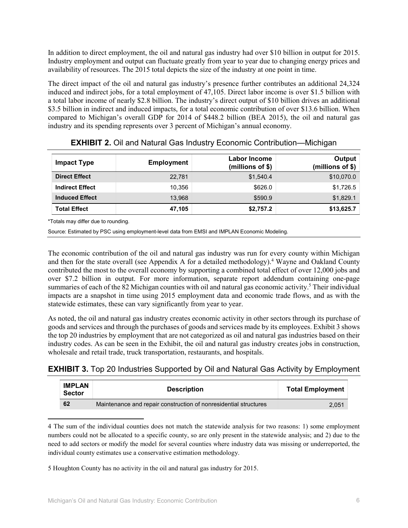In addition to direct employment, the oil and natural gas industry had over \$10 billion in output for 2015. Industry employment and output can fluctuate greatly from year to year due to changing energy prices and availability of resources. The 2015 total depicts the size of the industry at one point in time.

The direct impact of the oil and natural gas industry's presence further contributes an additional 24,324 induced and indirect jobs, for a total employment of 47,105. Direct labor income is over \$1.5 billion with a total labor income of nearly \$2.8 billion. The industry's direct output of \$10 billion drives an additional \$3.5 billion in indirect and induced impacts, for a total economic contribution of over \$13.6 billion. When compared to Michigan's overall GDP for 2014 of \$448.2 billion (BEA 2015), the oil and natural gas industry and its spending represents over 3 percent of Michigan's annual economy.

| Impact Type            | <b>Employment</b> | Labor Income<br>(millions of $$$ ) | Output<br>(millions of \$) |
|------------------------|-------------------|------------------------------------|----------------------------|
| <b>Direct Effect</b>   | 22.781            | \$1.540.4                          | \$10,070.0                 |
| <b>Indirect Effect</b> | 10.356            | \$626.0                            | \$1,726.5                  |
| <b>Induced Effect</b>  | 13.968            | \$590.9                            | \$1,829.1                  |
| <b>Total Effect</b>    | 47.105            | \$2,757.2                          | \$13,625.7                 |

| <b>EXHIBIT 2.</b> Oil and Natural Gas Industry Economic Contribution-Michigan |  |
|-------------------------------------------------------------------------------|--|
|-------------------------------------------------------------------------------|--|

\*Totals may differ due to rounding.

l

Source: Estimated by PSC using employment-level data from EMSI and IMPLAN Economic Modeling.

The economic contribution of the oil and natural gas industry was run for every county within Michigan and then for the state overall (see Appendix A for a detailed methodology).<sup>4</sup> Wayne and Oakland County contributed the most to the overall economy by supporting a combined total effect of over 12,000 jobs and over \$7.2 billion in output. For more information, separate report addendum containing one-page summaries of each of the 82 Michigan counties with oil and natural gas economic activity.<sup>5</sup> Their individual impacts are a snapshot in time using 2015 employment data and economic trade flows, and as with the statewide estimates, these can vary significantly from year to year.

As noted, the oil and natural gas industry creates economic activity in other sectors through its purchase of goods and services and through the purchases of goods and services made by its employees. Exhibit 3 shows the top 20 industries by employment that are not categorized as oil and natural gas industries based on their industry codes. As can be seen in the Exhibit, the oil and natural gas industry creates jobs in construction, wholesale and retail trade, truck transportation, restaurants, and hospitals.

### **EXHIBIT 3.** Top 20 Industries Supported by Oil and Natural Gas Activity by Employment

| <b>IMPLAN</b><br><b>Sector</b> | <b>Description</b>                                               | <b>Total Employment</b> |  |
|--------------------------------|------------------------------------------------------------------|-------------------------|--|
| 62                             | Maintenance and repair construction of nonresidential structures | 2.051                   |  |

4 The sum of the individual counties does not match the statewide analysis for two reasons: 1) some employment numbers could not be allocated to a specific county, so are only present in the statewide analysis; and 2) due to the need to add sectors or modify the model for several counties where industry data was missing or underreported, the individual county estimates use a conservative estimation methodology.

5 Houghton County has no activity in the oil and natural gas industry for 2015.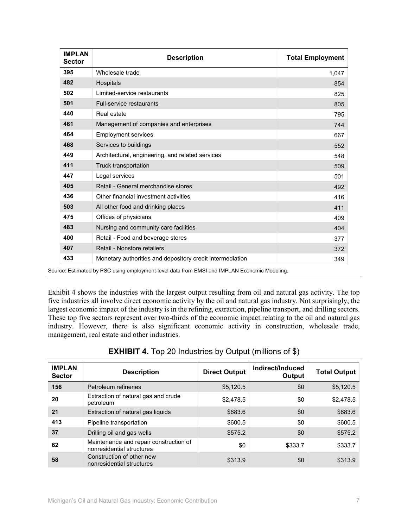| <b>IMPLAN</b><br><b>Sector</b> | <b>Description</b>                                        | <b>Total Employment</b> |
|--------------------------------|-----------------------------------------------------------|-------------------------|
| 395                            | Wholesale trade                                           | 1,047                   |
| 482                            | Hospitals                                                 | 854                     |
| 502                            | Limited-service restaurants                               | 825                     |
| 501                            | <b>Full-service restaurants</b>                           | 805                     |
| 440                            | Real estate                                               | 795                     |
| 461                            | Management of companies and enterprises                   | 744                     |
| 464                            | <b>Employment services</b>                                | 667                     |
| 468                            | Services to buildings                                     | 552                     |
| 449                            | Architectural, engineering, and related services          | 548                     |
| 411                            | Truck transportation                                      | 509                     |
| 447                            | Legal services                                            | 501                     |
| 405                            | Retail - General merchandise stores                       | 492                     |
| 436                            | Other financial investment activities                     | 416                     |
| 503                            | All other food and drinking places                        | 411                     |
| 475                            | Offices of physicians                                     | 409                     |
| 483                            | Nursing and community care facilities                     | 404                     |
| 400                            | Retail - Food and beverage stores                         | 377                     |
| 407                            | Retail - Nonstore retailers                               | 372                     |
| 433                            | Monetary authorities and depository credit intermediation | 349                     |

Exhibit 4 shows the industries with the largest output resulting from oil and natural gas activity. The top five industries all involve direct economic activity by the oil and natural gas industry. Not surprisingly, the largest economic impact of the industry is in the refining, extraction, pipeline transport, and drilling sectors. These top five sectors represent over two-thirds of the economic impact relating to the oil and natural gas industry. However, there is also significant economic activity in construction, wholesale trade, management, real estate and other industries.

| <b>IMPLAN</b><br><b>Sector</b> | <b>Description</b>                                                  | <b>Direct Output</b> | Indirect/Induced<br>Output | <b>Total Output</b> |
|--------------------------------|---------------------------------------------------------------------|----------------------|----------------------------|---------------------|
| 156                            | Petroleum refineries                                                | \$5,120.5            | \$0                        | \$5,120.5           |
| 20                             | Extraction of natural gas and crude<br>petroleum                    | \$2,478.5            | \$0                        | \$2,478.5           |
| 21                             | Extraction of natural gas liquids                                   | \$683.6              | \$0                        | \$683.6             |
| 413                            | Pipeline transportation                                             | \$600.5              | \$0                        | \$600.5             |
| 37                             | Drilling oil and gas wells                                          | \$575.2              | \$0                        | \$575.2             |
| 62                             | Maintenance and repair construction of<br>nonresidential structures | \$0                  | \$333.7                    | \$333.7             |
| 58                             | Construction of other new<br>nonresidential structures              | \$313.9              | \$0                        | \$313.9             |

#### **EXHIBIT 4.** Top 20 Industries by Output (millions of \$)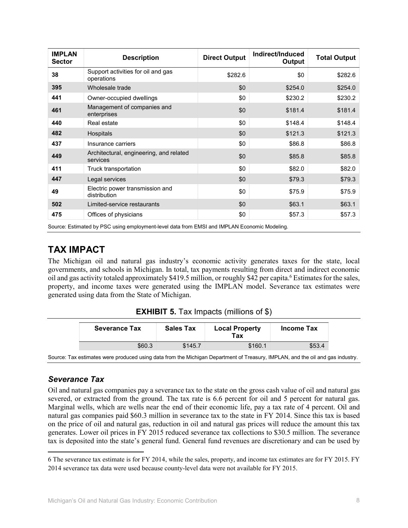| <b>IMPLAN</b><br><b>Sector</b> | <b>Description</b>                                                                           | <b>Direct Output</b> | Indirect/Induced<br>Output | <b>Total Output</b> |
|--------------------------------|----------------------------------------------------------------------------------------------|----------------------|----------------------------|---------------------|
| 38                             | Support activities for oil and gas<br>operations                                             | \$282.6              | \$0                        | \$282.6             |
| 395                            | Wholesale trade                                                                              | \$0                  | \$254.0                    | \$254.0             |
| 441                            | Owner-occupied dwellings                                                                     | \$0                  | \$230.2                    | \$230.2             |
| 461                            | Management of companies and<br>enterprises                                                   | \$0                  | \$181.4                    | \$181.4             |
| 440                            | Real estate                                                                                  | \$0                  | \$148.4                    | \$148.4             |
| 482                            | Hospitals                                                                                    | \$0                  | \$121.3                    | \$121.3             |
| 437                            | Insurance carriers                                                                           | \$0                  | \$86.8                     | \$86.8              |
| 449                            | Architectural, engineering, and related<br>services                                          | \$0                  | \$85.8                     | \$85.8              |
| 411                            | Truck transportation                                                                         | \$0                  | \$82.0                     | \$82.0              |
| 447                            | Legal services                                                                               | \$0                  | \$79.3                     | \$79.3              |
| 49                             | Electric power transmission and<br>distribution                                              | \$0                  | \$75.9                     | \$75.9              |
| 502                            | Limited-service restaurants                                                                  | \$0                  | \$63.1                     | \$63.1              |
| 475                            | Offices of physicians                                                                        | \$0                  | \$57.3                     | \$57.3              |
|                                | Source: Estimated by PSC using employment-level data from EMSI and IMPLAN Economic Modeling. |                      |                            |                     |

## **TAX IMPACT**

The Michigan oil and natural gas industry's economic activity generates taxes for the state, local governments, and schools in Michigan. In total, tax payments resulting from direct and indirect economic oil and gas activity totaled approximately \$419.5 million, or roughly \$42 per capita. <sup>6</sup> Estimates for the sales, property, and income taxes were generated using the IMPLAN model. Severance tax estimates were generated using data from the State of Michigan.

| <b>EXHIBIT 5.</b> Tax Impacts (millions of \$) |  |  |  |  |  |
|------------------------------------------------|--|--|--|--|--|
|------------------------------------------------|--|--|--|--|--|

| <b>Severance Tax</b> | <b>Sales Tax</b> | <b>Local Property</b><br>Tax | Income Tax |
|----------------------|------------------|------------------------------|------------|
| \$60.3               | \$145.7          | \$160.1                      | \$53.4     |

Source: Tax estimates were produced using data from the Michigan Department of Treasury, IMPLAN, and the oil and gas industry.

### *Severance Tax*

 $\overline{\phantom{a}}$ 

Oil and natural gas companies pay a severance tax to the state on the gross cash value of oil and natural gas severed, or extracted from the ground. The tax rate is 6.6 percent for oil and 5 percent for natural gas. Marginal wells, which are wells near the end of their economic life, pay a tax rate of 4 percent. Oil and natural gas companies paid \$60.3 million in severance tax to the state in FY 2014. Since this tax is based on the price of oil and natural gas, reduction in oil and natural gas prices will reduce the amount this tax generates. Lower oil prices in FY 2015 reduced severance tax collections to \$30.5 million. The severance tax is deposited into the state's general fund. General fund revenues are discretionary and can be used by

<sup>6</sup> The severance tax estimate is for FY 2014, while the sales, property, and income tax estimates are for FY 2015. FY 2014 severance tax data were used because county-level data were not available for FY 2015.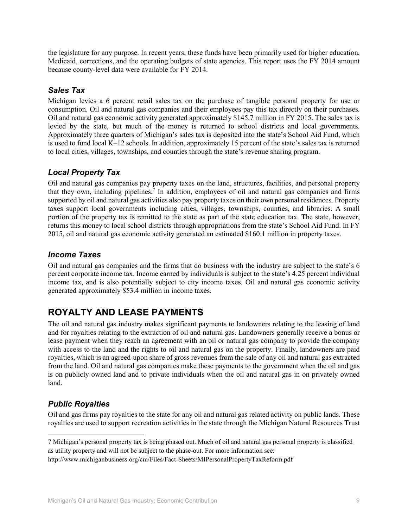the legislature for any purpose. In recent years, these funds have been primarily used for higher education, Medicaid, corrections, and the operating budgets of state agencies. This report uses the FY 2014 amount because county-level data were available for FY 2014.

#### *Sales Tax*

Michigan levies a 6 percent retail sales tax on the purchase of tangible personal property for use or consumption. Oil and natural gas companies and their employees pay this tax directly on their purchases. Oil and natural gas economic activity generated approximately \$145.7 million in FY 2015. The sales tax is levied by the state, but much of the money is returned to school districts and local governments. Approximately three quarters of Michigan's sales tax is deposited into the state's School Aid Fund, which is used to fund local K–12 schools. In addition, approximately 15 percent of the state's sales tax is returned to local cities, villages, townships, and counties through the state's revenue sharing program.

### *Local Property Tax*

Oil and natural gas companies pay property taxes on the land, structures, facilities, and personal property that they own, including pipelines.7 In addition, employees of oil and natural gas companies and firms supported by oil and natural gas activities also pay property taxes on their own personal residences. Property taxes support local governments including cities, villages, townships, counties, and libraries. A small portion of the property tax is remitted to the state as part of the state education tax. The state, however, returns this money to local school districts through appropriations from the state's School Aid Fund. In FY 2015, oil and natural gas economic activity generated an estimated \$160.1 million in property taxes.

#### *Income Taxes*

Oil and natural gas companies and the firms that do business with the industry are subject to the state's 6 percent corporate income tax. Income earned by individuals is subject to the state's 4.25 percent individual income tax, and is also potentially subject to city income taxes. Oil and natural gas economic activity generated approximately \$53.4 million in income taxes.

## **ROYALTY AND LEASE PAYMENTS**

The oil and natural gas industry makes significant payments to landowners relating to the leasing of land and for royalties relating to the extraction of oil and natural gas. Landowners generally receive a bonus or lease payment when they reach an agreement with an oil or natural gas company to provide the company with access to the land and the rights to oil and natural gas on the property. Finally, landowners are paid royalties, which is an agreed-upon share of gross revenues from the sale of any oil and natural gas extracted from the land. Oil and natural gas companies make these payments to the government when the oil and gas is on publicly owned land and to private individuals when the oil and natural gas in on privately owned land.

### *Public Royalties*

 $\overline{\phantom{a}}$ 

Oil and gas firms pay royalties to the state for any oil and natural gas related activity on public lands. These royalties are used to support recreation activities in the state through the Michigan Natural Resources Trust

<sup>7</sup> Michigan's personal property tax is being phased out. Much of oil and natural gas personal property is classified as utility property and will not be subject to the phase-out. For more information see:

http://www.michiganbusiness.org/cm/Files/Fact-Sheets/MIPersonalPropertyTaxReform.pdf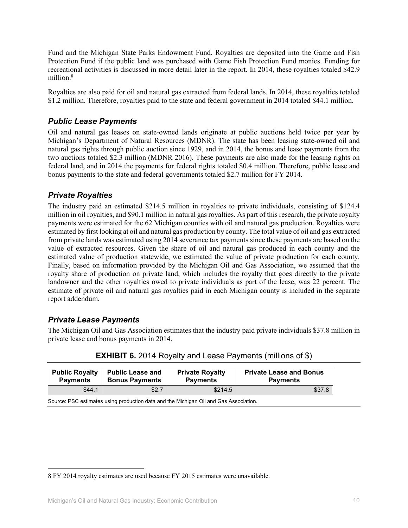Fund and the Michigan State Parks Endowment Fund. Royalties are deposited into the Game and Fish Protection Fund if the public land was purchased with Game Fish Protection Fund monies. Funding for recreational activities is discussed in more detail later in the report. In 2014, these royalties totaled \$42.9 million.<sup>8</sup>

Royalties are also paid for oil and natural gas extracted from federal lands. In 2014, these royalties totaled \$1.2 million. Therefore, royalties paid to the state and federal government in 2014 totaled \$44.1 million.

#### *Public Lease Payments*

Oil and natural gas leases on state-owned lands originate at public auctions held twice per year by Michigan's Department of Natural Resources (MDNR). The state has been leasing state-owned oil and natural gas rights through public auction since 1929, and in 2014, the bonus and lease payments from the two auctions totaled \$2.3 million (MDNR 2016). These payments are also made for the leasing rights on federal land, and in 2014 the payments for federal rights totaled \$0.4 million. Therefore, public lease and bonus payments to the state and federal governments totaled \$2.7 million for FY 2014.

#### *Private Royalties*

The industry paid an estimated \$214.5 million in royalties to private individuals, consisting of \$124.4 million in oil royalties, and \$90.1 million in natural gas royalties. As part of this research, the private royalty payments were estimated for the 62 Michigan counties with oil and natural gas production. Royalties were estimated by first looking at oil and natural gas production by county. The total value of oil and gas extracted from private lands was estimated using 2014 severance tax payments since these payments are based on the value of extracted resources. Given the share of oil and natural gas produced in each county and the estimated value of production statewide, we estimated the value of private production for each county. Finally, based on information provided by the Michigan Oil and Gas Association, we assumed that the royalty share of production on private land, which includes the royalty that goes directly to the private landowner and the other royalties owed to private individuals as part of the lease, was 22 percent. The estimate of private oil and natural gas royalties paid in each Michigan county is included in the separate report addendum.

#### *Private Lease Payments*

l

The Michigan Oil and Gas Association estimates that the industry paid private individuals \$37.8 million in private lease and bonus payments in 2014.

| <b>Public Royalty</b> | <b>Public Lease and</b> | <b>Private Royalty</b> | <b>Private Lease and Bonus</b> |
|-----------------------|-------------------------|------------------------|--------------------------------|
| <b>Payments</b>       | <b>Bonus Payments</b>   | <b>Payments</b>        | <b>Payments</b>                |
| \$44.1                | \$2.7                   | \$214.5                | \$37.8                         |

| <b>EXHIBIT 6.</b> 2014 Royalty and Lease Payments (millions of \$) |  |  |  |  |  |  |
|--------------------------------------------------------------------|--|--|--|--|--|--|
|--------------------------------------------------------------------|--|--|--|--|--|--|

Source: PSC estimates using production data and the Michigan Oil and Gas Association.

<sup>8</sup> FY 2014 royalty estimates are used because FY 2015 estimates were unavailable.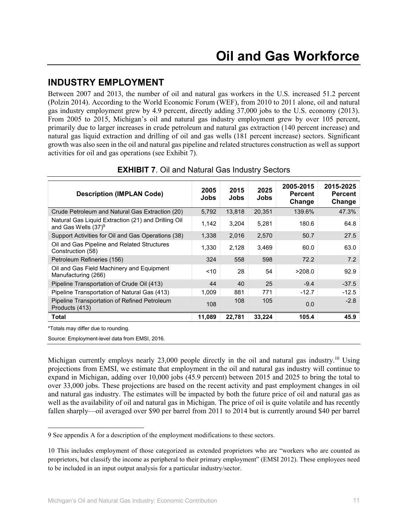## **INDUSTRY EMPLOYMENT**

Between 2007 and 2013, the number of oil and natural gas workers in the U.S. increased 51.2 percent (Polzin 2014). According to the World Economic Forum (WEF), from 2010 to 2011 alone, oil and natural gas industry employment grew by 4.9 percent, directly adding 37,000 jobs to the U.S. economy (2013). From 2005 to 2015, Michigan's oil and natural gas industry employment grew by over 105 percent, primarily due to larger increases in crude petroleum and natural gas extraction (140 percent increase) and natural gas liquid extraction and drilling of oil and gas wells (181 percent increase) sectors. Significant growth was also seen in the oil and natural gas pipeline and related structures construction as well as support activities for oil and gas operations (see Exhibit 7).

| <b>Description (IMPLAN Code)</b>                                              | 2005<br>Jobs | 2015<br>Jobs | 2025<br>Jobs | 2005-2015<br><b>Percent</b><br>Change | 2015-2025<br><b>Percent</b><br>Change |
|-------------------------------------------------------------------------------|--------------|--------------|--------------|---------------------------------------|---------------------------------------|
| Crude Petroleum and Natural Gas Extraction (20)                               | 5,792        | 13.818       | 20.351       | 139.6%                                | 47.3%                                 |
| Natural Gas Liquid Extraction (21) and Drilling Oil<br>and Gas Wells $(37)^9$ | 1,142        | 3.204        | 5.281        | 180.6                                 | 64.8                                  |
| Support Activities for Oil and Gas Operations (38)                            | 1,338        | 2,016        | 2,570        | 50.7                                  | 27.5                                  |
| Oil and Gas Pipeline and Related Structures<br>Construction (58)              | 1,330        | 2,128        | 3,469        | 60.0                                  | 63.0                                  |
| Petroleum Refineries (156)                                                    | 324          | 558          | 598          | 72.2                                  | 7.2                                   |
| Oil and Gas Field Machinery and Equipment<br>Manufacturing (266)              | $<$ 10       | 28           | 54           | >208.0                                | 92.9                                  |
| Pipeline Transportation of Crude Oil (413)                                    | 44           | 40           | 25           | $-9.4$                                | $-37.5$                               |
| Pipeline Transportation of Natural Gas (413)                                  | 1,009        | 881          | 771          | $-12.7$                               | $-12.5$                               |
| Pipeline Transportation of Refined Petroleum<br>Products (413)                | 108          | 108          | 105          | 0.0                                   | $-2.8$                                |
| Total                                                                         | 11,089       | 22,781       | 33,224       | 105.4                                 | 45.9                                  |

#### **EXHIBIT 7**. Oil and Natural Gas Industry Sectors

\*Totals may differ due to rounding.

 $\overline{\phantom{a}}$ 

Source: Employment-level data from EMSI, 2016.

Michigan currently employs nearly 23,000 people directly in the oil and natural gas industry.<sup>10</sup> Using projections from EMSI, we estimate that employment in the oil and natural gas industry will continue to expand in Michigan, adding over 10,000 jobs (45.9 percent) between 2015 and 2025 to bring the total to over 33,000 jobs. These projections are based on the recent activity and past employment changes in oil and natural gas industry. The estimates will be impacted by both the future price of oil and natural gas as well as the availability of oil and natural gas in Michigan. The price of oil is quite volatile and has recently fallen sharply—oil averaged over \$90 per barrel from 2011 to 2014 but is currently around \$40 per barrel

<sup>9</sup> See appendix A for a description of the employment modifications to these sectors.

<sup>10</sup> This includes employment of those categorized as extended proprietors who are "workers who are counted as proprietors, but classify the income as peripheral to their primary employment" (EMSI 2012). These employees need to be included in an input output analysis for a particular industry/sector.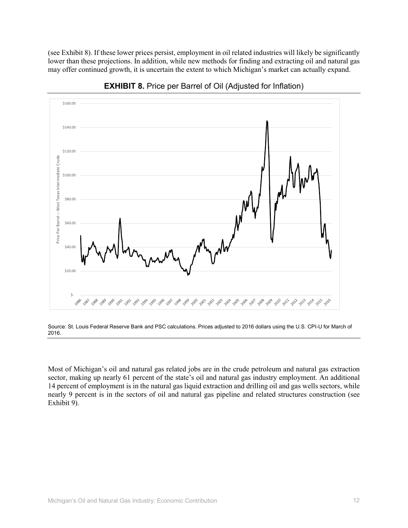(see Exhibit 8). If these lower prices persist, employment in oil related industries will likely be significantly lower than these projections. In addition, while new methods for finding and extracting oil and natural gas may offer continued growth, it is uncertain the extent to which Michigan's market can actually expand.



**EXHIBIT 8.** Price per Barrel of Oil (Adjusted for Inflation)

Source: St. Louis Federal Reserve Bank and PSC calculations. Prices adjusted to 2016 dollars using the U.S. CPI-U for March of 2016.

Most of Michigan's oil and natural gas related jobs are in the crude petroleum and natural gas extraction sector, making up nearly 61 percent of the state's oil and natural gas industry employment. An additional 14 percent of employment is in the natural gas liquid extraction and drilling oil and gas wells sectors, while nearly 9 percent is in the sectors of oil and natural gas pipeline and related structures construction (see Exhibit 9).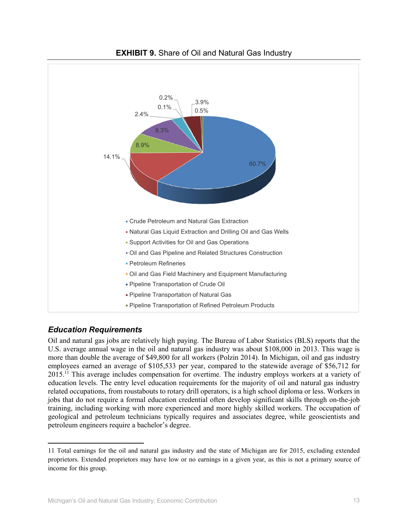

#### **EXHIBIT 9.** Share of Oil and Natural Gas Industry

#### *Education Requirements*

**.** 

Oil and natural gas jobs are relatively high paying. The Bureau of Labor Statistics (BLS) reports that the U.S. average annual wage in the oil and natural gas industry was about \$108,000 in 2013. This wage is more than double the average of \$49,800 for all workers (Polzin 2014). In Michigan, oil and gas industry employees earned an average of \$105,533 per year, compared to the statewide average of \$56,712 for 2015.11 This average includes compensation for overtime. The industry employs workers at a variety of education levels. The entry level education requirements for the majority of oil and natural gas industry related occupations, from roustabouts to rotary drill operators, is a high school diploma or less. Workers in jobs that do not require a formal education credential often develop significant skills through on-the-job training, including working with more experienced and more highly skilled workers. The occupation of geological and petroleum technicians typically requires and associates degree, while geoscientists and petroleum engineers require a bachelor's degree.

<sup>11</sup> Total earnings for the oil and natural gas industry and the state of Michigan are for 2015, excluding extended proprietors. Extended proprietors may have low or no earnings in a given year, as this is not a primary source of income for this group.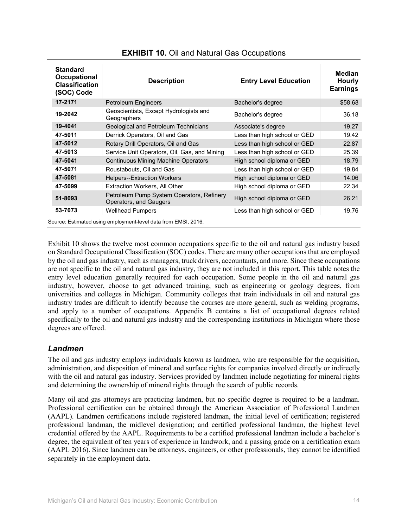| <b>Standard</b><br>Occupational<br><b>Classification</b><br>(SOC) Code | <b>Description</b>                                                  | <b>Entry Level Education</b> | <b>Median</b><br><b>Hourly</b><br><b>Earnings</b> |
|------------------------------------------------------------------------|---------------------------------------------------------------------|------------------------------|---------------------------------------------------|
| 17-2171                                                                | Petroleum Engineers                                                 | Bachelor's degree            | \$58.68                                           |
| 19-2042                                                                | Geoscientists, Except Hydrologists and<br>Geographers               | Bachelor's degree            | 36.18                                             |
| 19-4041                                                                | Geological and Petroleum Technicians                                | Associate's degree           | 19.27                                             |
| 47-5011                                                                | Derrick Operators, Oil and Gas                                      | Less than high school or GED | 19.42                                             |
| 47-5012                                                                | Rotary Drill Operators, Oil and Gas                                 | Less than high school or GED | 22.87                                             |
| 47-5013                                                                | Service Unit Operators, Oil, Gas, and Mining                        | Less than high school or GED | 25.39                                             |
| 47-5041                                                                | <b>Continuous Mining Machine Operators</b>                          | High school diploma or GED   | 18.79                                             |
| 47-5071                                                                | Roustabouts, Oil and Gas                                            | Less than high school or GED | 19.84                                             |
| 47-5081                                                                | <b>Helpers--Extraction Workers</b>                                  | High school diploma or GED   | 14.06                                             |
| 47-5099                                                                | Extraction Workers, All Other                                       | High school diploma or GED   | 22.34                                             |
| 51-8093                                                                | Petroleum Pump System Operators, Refinery<br>Operators, and Gaugers | High school diploma or GED   | 26.21                                             |
| 53-7073                                                                | <b>Wellhead Pumpers</b>                                             | Less than high school or GED | 19.76                                             |
|                                                                        | Source: Estimated using employment-level data from EMSI, 2016.      |                              |                                                   |

#### **EXHIBIT 10.** Oil and Natural Gas Occupations

Exhibit 10 shows the twelve most common occupations specific to the oil and natural gas industry based on Standard Occupational Classification (SOC) codes. There are many other occupations that are employed by the oil and gas industry, such as managers, truck drivers, accountants, and more. Since these occupations are not specific to the oil and natural gas industry, they are not included in this report. This table notes the entry level education generally required for each occupation. Some people in the oil and natural gas industry, however, choose to get advanced training, such as engineering or geology degrees, from universities and colleges in Michigan. Community colleges that train individuals in oil and natural gas industry trades are difficult to identify because the courses are more general, such as welding programs, and apply to a number of occupations. Appendix B contains a list of occupational degrees related specifically to the oil and natural gas industry and the corresponding institutions in Michigan where those degrees are offered.

#### *Landmen*

The oil and gas industry employs individuals known as landmen, who are responsible for the acquisition, administration, and disposition of mineral and surface rights for companies involved directly or indirectly with the oil and natural gas industry. Services provided by landmen include negotiating for mineral rights and determining the ownership of mineral rights through the search of public records.

Many oil and gas attorneys are practicing landmen, but no specific degree is required to be a landman. Professional certification can be obtained through the American Association of Professional Landmen (AAPL). Landmen certifications include registered landman, the initial level of certification; registered professional landman, the midlevel designation; and certified professional landman, the highest level credential offered by the AAPL. Requirements to be a certified professional landman include a bachelor's degree, the equivalent of ten years of experience in landwork, and a passing grade on a certification exam (AAPL 2016). Since landmen can be attorneys, engineers, or other professionals, they cannot be identified separately in the employment data.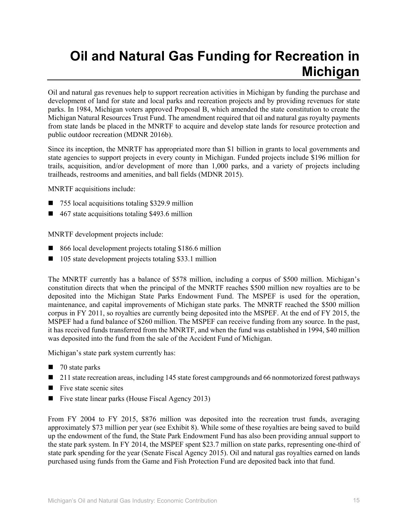# **Oil and Natural Gas Funding for Recreation in Michigan**

Oil and natural gas revenues help to support recreation activities in Michigan by funding the purchase and development of land for state and local parks and recreation projects and by providing revenues for state parks. In 1984, Michigan voters approved Proposal B, which amended the state constitution to create the Michigan Natural Resources Trust Fund. The amendment required that oil and natural gas royalty payments from state lands be placed in the MNRTF to acquire and develop state lands for resource protection and public outdoor recreation (MDNR 2016b).

Since its inception, the MNRTF has appropriated more than \$1 billion in grants to local governments and state agencies to support projects in every county in Michigan. Funded projects include \$196 million for trails, acquisition, and/or development of more than 1,000 parks, and a variety of projects including trailheads, restrooms and amenities, and ball fields (MDNR 2015).

MNRTF acquisitions include:

- 755 local acquisitions totaling \$329.9 million
- $\blacksquare$  467 state acquisitions totaling \$493.6 million

MNRTF development projects include:

- 866 local development projects totaling \$186.6 million
- 105 state development projects totaling \$33.1 million

The MNRTF currently has a balance of \$578 million, including a corpus of \$500 million. Michigan's constitution directs that when the principal of the MNRTF reaches \$500 million new royalties are to be deposited into the Michigan State Parks Endowment Fund. The MSPEF is used for the operation, maintenance, and capital improvements of Michigan state parks. The MNRTF reached the \$500 million corpus in FY 2011, so royalties are currently being deposited into the MSPEF. At the end of FY 2015, the MSPEF had a fund balance of \$260 million. The MSPEF can receive funding from any source. In the past, it has received funds transferred from the MNRTF, and when the fund was established in 1994, \$40 million was deposited into the fund from the sale of the Accident Fund of Michigan.

Michigan's state park system currently has:

- $\blacksquare$  70 state parks
- 211 state recreation areas, including 145 state forest campgrounds and 66 nonmotorized forest pathways
- $\blacksquare$  Five state scenic sites
- Five state linear parks (House Fiscal Agency 2013)

From FY 2004 to FY 2015, \$876 million was deposited into the recreation trust funds, averaging approximately \$73 million per year (see Exhibit 8). While some of these royalties are being saved to build up the endowment of the fund, the State Park Endowment Fund has also been providing annual support to the state park system. In FY 2014, the MSPEF spent \$23.7 million on state parks, representing one-third of state park spending for the year (Senate Fiscal Agency 2015). Oil and natural gas royalties earned on lands purchased using funds from the Game and Fish Protection Fund are deposited back into that fund.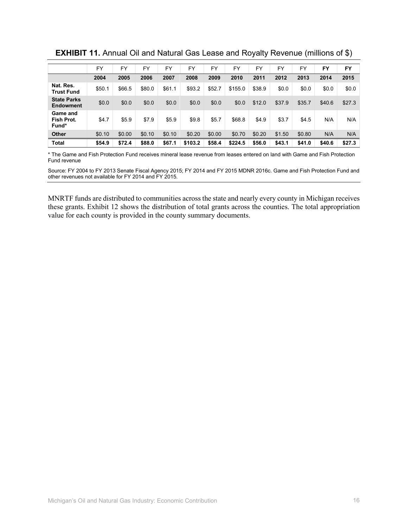|                                        | <b>FY</b> | FY     | <b>FY</b> | <b>FY</b> | FY      | <b>FY</b> | FY      | FY     | FY     | <b>FY</b> | FY     | FY     |
|----------------------------------------|-----------|--------|-----------|-----------|---------|-----------|---------|--------|--------|-----------|--------|--------|
|                                        | 2004      | 2005   | 2006      | 2007      | 2008    | 2009      | 2010    | 2011   | 2012   | 2013      | 2014   | 2015   |
| Nat. Res.<br><b>Trust Fund</b>         | \$50.1    | \$66.5 | \$80.0    | \$61.1    | \$93.2  | \$52.7    | \$155.0 | \$38.9 | \$0.0  | \$0.0     | \$0.0  | \$0.0  |
| <b>State Parks</b><br><b>Endowment</b> | \$0.0     | \$0.0  | \$0.0     | \$0.0     | \$0.0   | \$0.0     | \$0.0   | \$12.0 | \$37.9 | \$35.7    | \$40.6 | \$27.3 |
| Game and<br>Fish Prot.<br>Fund*        | \$4.7     | \$5.9  | \$7.9     | \$5.9     | \$9.8   | \$5.7     | \$68.8  | \$4.9  | \$3.7  | \$4.5     | N/A    | N/A    |
| <b>Other</b>                           | \$0.10    | \$0.00 | \$0.10    | \$0.10    | \$0.20  | \$0.00    | \$0.70  | \$0.20 | \$1.50 | \$0.80    | N/A    | N/A    |
| <b>Total</b>                           | \$54.9    | \$72.4 | \$88.0    | \$67.1    | \$103.2 | \$58.4    | \$224.5 | \$56.0 | \$43.1 | \$41.0    | \$40.6 | \$27.3 |

**EXHIBIT 11.** Annual Oil and Natural Gas Lease and Royalty Revenue (millions of \$)

\* The Game and Fish Protection Fund receives mineral lease revenue from leases entered on land with Game and Fish Protection Fund revenue

Source: FY 2004 to FY 2013 Senate Fiscal Agency 2015; FY 2014 and FY 2015 MDNR 2016c. Game and Fish Protection Fund and other revenues not available for FY 2014 and FY 2015.

MNRTF funds are distributed to communities across the state and nearly every county in Michigan receives these grants. Exhibit 12 shows the distribution of total grants across the counties. The total appropriation value for each county is provided in the county summary documents.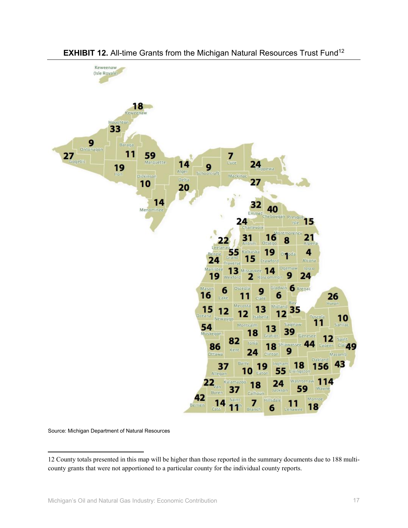

#### **EXHIBIT 12.** All-time Grants from the Michigan Natural Resources Trust Fund<sup>12</sup>

Source: Michigan Department of Natural Resources

 $\overline{\phantom{a}}$ 

<sup>12</sup> County totals presented in this map will be higher than those reported in the summary documents due to 188 multicounty grants that were not apportioned to a particular county for the individual county reports.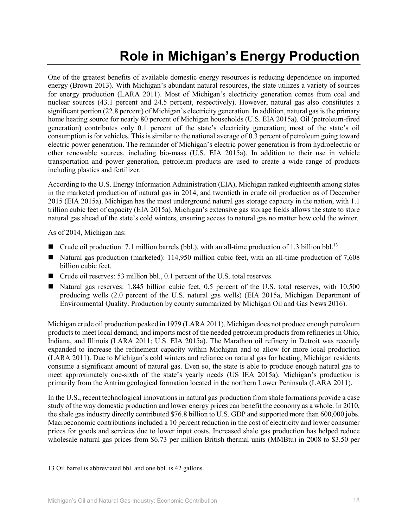# **Role in Michigan's Energy Production**

One of the greatest benefits of available domestic energy resources is reducing dependence on imported energy (Brown 2013). With Michigan's abundant natural resources, the state utilizes a variety of sources for energy production (LARA 2011). Most of Michigan's electricity generation comes from coal and nuclear sources (43.1 percent and 24.5 percent, respectively). However, natural gas also constitutes a significant portion (22.8 percent) of Michigan's electricity generation. In addition, natural gas is the primary home heating source for nearly 80 percent of Michigan households (U.S. EIA 2015a). Oil (petroleum-fired generation) contributes only 0.1 percent of the state's electricity generation; most of the state's oil consumption is for vehicles. This is similar to the national average of 0.3 percent of petroleum going toward electric power generation. The remainder of Michigan's electric power generation is from hydroelectric or other renewable sources, including bio-mass (U.S. EIA 2015a). In addition to their use in vehicle transportation and power generation, petroleum products are used to create a wide range of products including plastics and fertilizer.

According to the U.S. Energy Information Administration (EIA), Michigan ranked eighteenth among states in the marketed production of natural gas in 2014, and twentieth in crude oil production as of December 2015 (EIA 2015a). Michigan has the most underground natural gas storage capacity in the nation, with 1.1 trillion cubic feet of capacity (EIA 2015a). Michigan's extensive gas storage fields allows the state to store natural gas ahead of the state's cold winters, ensuring access to natural gas no matter how cold the winter.

As of 2014, Michigan has:

- **Crude oil production:** 7.1 million barrels (bbl.), with an all-time production of 1.3 billion bbl.<sup>13</sup>
- Natural gas production (marketed): 114,950 million cubic feet, with an all-time production of 7,608 billion cubic feet.
- Crude oil reserves: 53 million bbl., 0.1 percent of the U.S. total reserves.
- Natural gas reserves: 1,845 billion cubic feet, 0.5 percent of the U.S. total reserves, with 10,500 producing wells (2.0 percent of the U.S. natural gas wells) (EIA 2015a, Michigan Department of Environmental Quality. Production by county summarized by Michigan Oil and Gas News 2016).

Michigan crude oil production peaked in 1979 (LARA 2011). Michigan does not produce enough petroleum products to meet local demand, and imports most of the needed petroleum products from refineries in Ohio, Indiana, and Illinois (LARA 2011; U.S. EIA 2015a). The Marathon oil refinery in Detroit was recently expanded to increase the refinement capacity within Michigan and to allow for more local production (LARA 2011). Due to Michigan's cold winters and reliance on natural gas for heating, Michigan residents consume a significant amount of natural gas. Even so, the state is able to produce enough natural gas to meet approximately one-sixth of the state's yearly needs (US IEA 2015a). Michigan's production is primarily from the Antrim geological formation located in the northern Lower Peninsula (LARA 2011).

In the U.S., recent technological innovations in natural gas production from shale formations provide a case study of the way domestic production and lower energy prices can benefit the economy as a whole. In 2010, the shale gas industry directly contributed \$76.8 billion to U.S. GDP and supported more than 600,000 jobs. Macroeconomic contributions included a 10 percent reduction in the cost of electricity and lower consumer prices for goods and services due to lower input costs. Increased shale gas production has helped reduce wholesale natural gas prices from \$6.73 per million British thermal units (MMBtu) in 2008 to \$3.50 per

l

<sup>13</sup> Oil barrel is abbreviated bbl. and one bbl. is 42 gallons.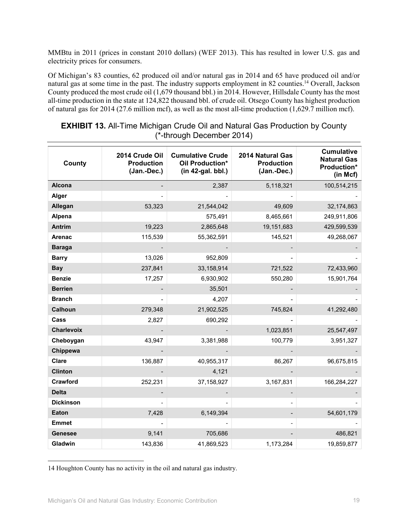MMBtu in 2011 (prices in constant 2010 dollars) (WEF 2013). This has resulted in lower U.S. gas and electricity prices for consumers.

Of Michigan's 83 counties, 62 produced oil and/or natural gas in 2014 and 65 have produced oil and/or natural gas at some time in the past. The industry supports employment in 82 counties.<sup>14</sup> Overall, Jackson County produced the most crude oil (1,679 thousand bbl.) in 2014. However, Hillsdale County has the most all-time production in the state at 124,822 thousand bbl. of crude oil. Otsego County has highest production of natural gas for 2014 (27.6 million mcf), as well as the most all-time production (1,629.7 million mcf).

| County           | 2014 Crude Oil<br><b>Production</b><br>(Jan.-Dec.) | <b>Cumulative Crude</b><br>Oil Production*<br>$(in 42-gal. bbl.)$ | 2014 Natural Gas<br><b>Production</b><br>(Jan.-Dec.) | <b>Cumulative</b><br><b>Natural Gas</b><br>Production*<br>(in Mcf) |
|------------------|----------------------------------------------------|-------------------------------------------------------------------|------------------------------------------------------|--------------------------------------------------------------------|
| Alcona           |                                                    | 2,387                                                             | 5,118,321                                            | 100,514,215                                                        |
| Alger            |                                                    |                                                                   |                                                      |                                                                    |
| Allegan          | 53,323                                             | 21,544,042                                                        | 49,609                                               | 32,174,863                                                         |
| Alpena           |                                                    | 575,491                                                           | 8,465,661                                            | 249,911,806                                                        |
| Antrim           | 19,223                                             | 2,865,648                                                         | 19,151,683                                           | 429,599,539                                                        |
| Arenac           | 115,539                                            | 55,362,591                                                        | 145,521                                              | 49,268,067                                                         |
| <b>Baraga</b>    |                                                    |                                                                   |                                                      |                                                                    |
| <b>Barry</b>     | 13,026                                             | 952,809                                                           |                                                      |                                                                    |
| <b>Bay</b>       | 237,841                                            | 33,158,914                                                        | 721,522                                              | 72,433,960                                                         |
| <b>Benzie</b>    | 17,257                                             | 6,930,902                                                         | 550,280                                              | 15,901,764                                                         |
| <b>Berrien</b>   |                                                    | 35,501                                                            |                                                      |                                                                    |
| <b>Branch</b>    |                                                    | 4,207                                                             |                                                      |                                                                    |
| Calhoun          | 279,348                                            | 21,902,525                                                        | 745,824                                              | 41,292,480                                                         |
| Cass             | 2,827                                              | 690,292                                                           |                                                      |                                                                    |
| Charlevoix       |                                                    |                                                                   | 1,023,851                                            | 25,547,497                                                         |
| Cheboygan        | 43,947                                             | 3,381,988                                                         | 100,779                                              | 3,951,327                                                          |
| Chippewa         |                                                    |                                                                   |                                                      |                                                                    |
| Clare            | 136,887                                            | 40,955,317                                                        | 86,267                                               | 96,675,815                                                         |
| <b>Clinton</b>   |                                                    | 4,121                                                             |                                                      |                                                                    |
| Crawford         | 252,231                                            | 37,158,927                                                        | 3,167,831                                            | 166,284,227                                                        |
| <b>Delta</b>     |                                                    |                                                                   |                                                      |                                                                    |
| <b>Dickinson</b> |                                                    |                                                                   |                                                      |                                                                    |
| Eaton            | 7,428                                              | 6,149,394                                                         |                                                      | 54,601,179                                                         |
| <b>Emmet</b>     |                                                    |                                                                   |                                                      |                                                                    |
| <b>Genesee</b>   | 9,141                                              | 705,686                                                           |                                                      | 486,821                                                            |
| Gladwin          | 143,836                                            | 41,869,523                                                        | 1,173,284                                            | 19,859,877                                                         |

#### **EXHIBIT 13.** All-Time Michigan Crude Oil and Natural Gas Production by County (\*-through December 2014)

14 Houghton County has no activity in the oil and natural gas industry.

l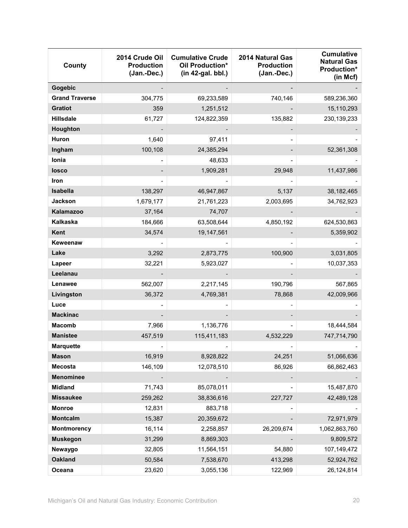| County                | 2014 Crude Oil<br><b>Production</b><br>(Jan.-Dec.) | <b>Cumulative Crude</b><br>Oil Production*<br>$(in 42-gal. bbl.)$ | 2014 Natural Gas<br><b>Production</b><br>(Jan.-Dec.) | <b>Cumulative</b><br><b>Natural Gas</b><br>Production*<br>(in Mcf) |
|-----------------------|----------------------------------------------------|-------------------------------------------------------------------|------------------------------------------------------|--------------------------------------------------------------------|
| Gogebic               |                                                    |                                                                   |                                                      |                                                                    |
| <b>Grand Traverse</b> | 304,775                                            | 69,233,589                                                        | 740,146                                              | 589,236,360                                                        |
| <b>Gratiot</b>        | 359                                                | 1,251,512                                                         |                                                      | 15,110,293                                                         |
| <b>Hillsdale</b>      | 61,727                                             | 124,822,359                                                       | 135,882                                              | 230, 139, 233                                                      |
| Houghton              |                                                    |                                                                   |                                                      |                                                                    |
| Huron                 | 1,640                                              | 97,411                                                            |                                                      |                                                                    |
| Ingham                | 100,108                                            | 24,385,294                                                        |                                                      | 52,361,308                                                         |
| Ionia                 |                                                    | 48,633                                                            |                                                      |                                                                    |
| losco                 |                                                    | 1,909,281                                                         | 29,948                                               | 11,437,986                                                         |
| Iron                  |                                                    |                                                                   |                                                      |                                                                    |
| Isabella              | 138,297                                            | 46,947,867                                                        | 5,137                                                | 38,182,465                                                         |
| <b>Jackson</b>        | 1,679,177                                          | 21,761,223                                                        | 2,003,695                                            | 34,762,923                                                         |
| Kalamazoo             | 37,164                                             | 74,707                                                            |                                                      |                                                                    |
| Kalkaska              | 184,666                                            | 63,508,644                                                        | 4,850,192                                            | 624,530,863                                                        |
| Kent                  | 34,574                                             | 19,147,561                                                        |                                                      | 5,359,902                                                          |
| Keweenaw              |                                                    |                                                                   |                                                      |                                                                    |
| Lake                  | 3,292                                              | 2,873,775                                                         | 100,900                                              | 3,031,805                                                          |
| Lapeer                | 32,221                                             | 5,923,027                                                         |                                                      | 10,037,353                                                         |
| Leelanau              |                                                    |                                                                   |                                                      |                                                                    |
| Lenawee               | 562,007                                            | 2,217,145                                                         | 190,796                                              | 567,865                                                            |
| Livingston            | 36,372                                             | 4,769,381                                                         | 78,868                                               | 42,009,966                                                         |
| Luce                  |                                                    |                                                                   |                                                      |                                                                    |
| <b>Mackinac</b>       |                                                    |                                                                   |                                                      |                                                                    |
| <b>Macomb</b>         | 7,966                                              | 1,136,776                                                         |                                                      | 18,444,584                                                         |
| <b>Manistee</b>       | 457,519                                            | 115,411,183                                                       | 4,532,229                                            | 747,714,790                                                        |
| <b>Marquette</b>      |                                                    |                                                                   |                                                      |                                                                    |
| <b>Mason</b>          | 16,919                                             | 8,928,822                                                         | 24,251                                               | 51,066,636                                                         |
| <b>Mecosta</b>        | 146,109                                            | 12,078,510                                                        | 86,926                                               | 66,862,463                                                         |
| <b>Menominee</b>      |                                                    |                                                                   |                                                      |                                                                    |
| <b>Midland</b>        | 71,743                                             | 85,078,011                                                        |                                                      | 15,487,870                                                         |
| <b>Missaukee</b>      | 259,262                                            | 38,836,616                                                        | 227,727                                              | 42,489,128                                                         |
| <b>Monroe</b>         | 12,831                                             | 883,718                                                           |                                                      |                                                                    |
| Montcalm              | 15,387                                             | 20,359,672                                                        |                                                      | 72,971,979                                                         |
| Montmorency           | 16,114                                             | 2,258,857                                                         | 26,209,674                                           | 1,062,863,760                                                      |
| <b>Muskegon</b>       | 31,299                                             | 8,869,303                                                         |                                                      | 9,809,572                                                          |
| Newaygo               | 32,805                                             | 11,564,151                                                        | 54,880                                               | 107,149,472                                                        |
| <b>Oakland</b>        | 50,584                                             | 7,538,670                                                         | 413,298                                              | 52,924,762                                                         |
| Oceana                | 23,620                                             | 3,055,136                                                         | 122,969                                              | 26,124,814                                                         |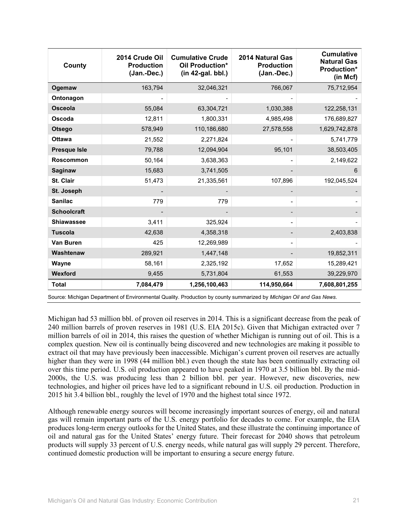| County              | 2014 Crude Oil<br><b>Production</b><br>(Jan.-Dec.) | <b>Cumulative Crude</b><br>Oil Production*<br>$(in 42-gal. bbl.)$ | 2014 Natural Gas<br><b>Production</b><br>(Jan.-Dec.) | <b>Cumulative</b><br><b>Natural Gas</b><br><b>Production*</b><br>(in Mcf) |
|---------------------|----------------------------------------------------|-------------------------------------------------------------------|------------------------------------------------------|---------------------------------------------------------------------------|
| Ogemaw              | 163,794                                            | 32,046,321                                                        | 766,067                                              | 75,712,954                                                                |
| Ontonagon           |                                                    |                                                                   |                                                      |                                                                           |
| <b>Osceola</b>      | 55,084                                             | 63,304,721                                                        | 1,030,388                                            | 122,258,131                                                               |
| Oscoda              | 12,811                                             | 1,800,331                                                         | 4,985,498                                            | 176,689,827                                                               |
| <b>Otsego</b>       | 578,949                                            | 110,186,680                                                       | 27,578,558                                           | 1,629,742,878                                                             |
| <b>Ottawa</b>       | 21,552                                             | 2,271,824                                                         |                                                      | 5,741,779                                                                 |
| <b>Presque Isle</b> | 79,788                                             | 12,094,904                                                        | 95,101                                               | 38,503,405                                                                |
| <b>Roscommon</b>    | 50,164                                             | 3,638,363                                                         |                                                      | 2,149,622                                                                 |
| <b>Saginaw</b>      | 15,683                                             | 3,741,505                                                         |                                                      | 6                                                                         |
| St. Clair           | 51,473                                             | 21,335,561                                                        | 107,896                                              | 192,045,524                                                               |
| <b>St. Joseph</b>   |                                                    |                                                                   |                                                      |                                                                           |
| <b>Sanilac</b>      | 779                                                | 779                                                               |                                                      |                                                                           |
| <b>Schoolcraft</b>  |                                                    |                                                                   |                                                      |                                                                           |
| <b>Shiawassee</b>   | 3,411                                              | 325,924                                                           | -                                                    |                                                                           |
| <b>Tuscola</b>      | 42,638                                             | 4,358,318                                                         |                                                      | 2,403,838                                                                 |
| Van Buren           | 425                                                | 12,269,989                                                        | -                                                    |                                                                           |
| Washtenaw           | 289,921                                            | 1,447,148                                                         |                                                      | 19,852,311                                                                |
| Wayne               | 58,161                                             | 2,325,192                                                         | 17,652                                               | 15,289,421                                                                |
| Wexford             | 9,455                                              | 5,731,804                                                         | 61,553                                               | 39,229,970                                                                |
| <b>Total</b>        | 7,084,479                                          | 1,256,100,463                                                     | 114,950,664                                          | 7,608,801,255                                                             |

Source: Michigan Department of Environmental Quality. Production by county summarized by *Michigan Oil and Gas News*.

Michigan had 53 million bbl. of proven oil reserves in 2014. This is a significant decrease from the peak of 240 million barrels of proven reserves in 1981 (U.S. EIA 2015c). Given that Michigan extracted over 7 million barrels of oil in 2014, this raises the question of whether Michigan is running out of oil. This is a complex question. New oil is continually being discovered and new technologies are making it possible to extract oil that may have previously been inaccessible. Michigan's current proven oil reserves are actually higher than they were in 1998 (44 million bbl.) even though the state has been continually extracting oil over this time period. U.S. oil production appeared to have peaked in 1970 at 3.5 billion bbl. By the mid-2000s, the U.S. was producing less than 2 billion bbl. per year. However, new discoveries, new technologies, and higher oil prices have led to a significant rebound in U.S. oil production. Production in 2015 hit 3.4 billion bbl., roughly the level of 1970 and the highest total since 1972.

Although renewable energy sources will become increasingly important sources of energy, oil and natural gas will remain important parts of the U.S. energy portfolio for decades to come. For example, the EIA produces long-term energy outlooks for the United States, and these illustrate the continuing importance of oil and natural gas for the United States' energy future. Their forecast for 2040 shows that petroleum products will supply 33 percent of U.S. energy needs, while natural gas will supply 29 percent. Therefore, continued domestic production will be important to ensuring a secure energy future.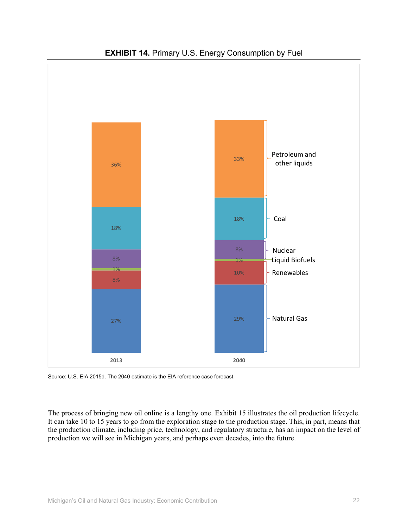

### **EXHIBIT 14.** Primary U.S. Energy Consumption by Fuel



The process of bringing new oil online is a lengthy one. Exhibit 15 illustrates the oil production lifecycle. It can take 10 to 15 years to go from the exploration stage to the production stage. This, in part, means that the production climate, including price, technology, and regulatory structure, has an impact on the level of production we will see in Michigan years, and perhaps even decades, into the future.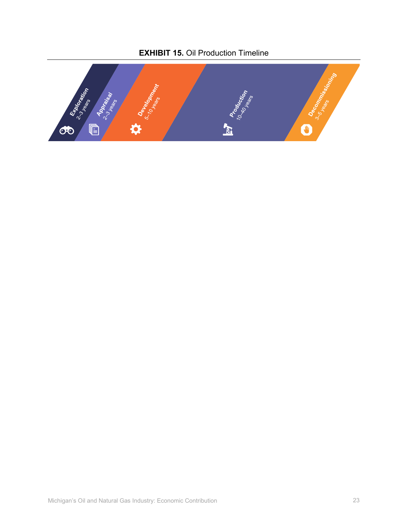## **EXHIBIT 15.** Oil Production Timeline

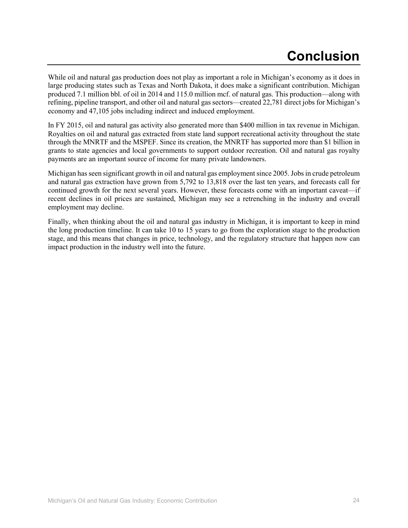While oil and natural gas production does not play as important a role in Michigan's economy as it does in large producing states such as Texas and North Dakota, it does make a significant contribution. Michigan produced 7.1 million bbl. of oil in 2014 and 115.0 million mcf. of natural gas. This production—along with refining, pipeline transport, and other oil and natural gas sectors—created 22,781 direct jobs for Michigan's economy and 47,105 jobs including indirect and induced employment.

In FY 2015, oil and natural gas activity also generated more than \$400 million in tax revenue in Michigan. Royalties on oil and natural gas extracted from state land support recreational activity throughout the state through the MNRTF and the MSPEF. Since its creation, the MNRTF has supported more than \$1 billion in grants to state agencies and local governments to support outdoor recreation. Oil and natural gas royalty payments are an important source of income for many private landowners.

Michigan has seen significant growth in oil and natural gas employment since 2005. Jobs in crude petroleum and natural gas extraction have grown from 5,792 to 13,818 over the last ten years, and forecasts call for continued growth for the next several years. However, these forecasts come with an important caveat—if recent declines in oil prices are sustained, Michigan may see a retrenching in the industry and overall employment may decline.

Finally, when thinking about the oil and natural gas industry in Michigan, it is important to keep in mind the long production timeline. It can take 10 to 15 years to go from the exploration stage to the production stage, and this means that changes in price, technology, and the regulatory structure that happen now can impact production in the industry well into the future.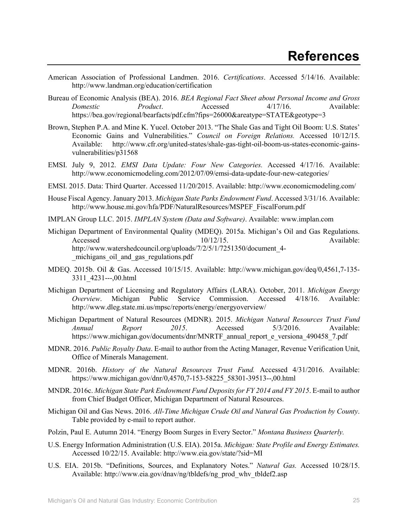- American Association of Professional Landmen. 2016. *Certifications*. Accessed 5/14/16. Available: http://www.landman.org/education/certification
- Bureau of Economic Analysis (BEA). 2016. *BEA Regional Fact Sheet about Personal Income and Gross Domestic Product*. Accessed 4/17/16. Available: https://bea.gov/regional/bearfacts/pdf.cfm?fips=26000&areatype=STATE&geotype=3
- Brown, Stephen P.A. and Mine K. Yucel. October 2013. "The Shale Gas and Tight Oil Boom: U.S. States' Economic Gains and Vulnerabilities." *Council on Foreign Relations.* Accessed 10/12/15. Available: http://www.cfr.org/united-states/shale-gas-tight-oil-boom-us-states-economic-gainsvulnerabilities/p31568
- EMSI. July 9, 2012. *EMSI Data Update: Four New Categories.* Accessed 4/17/16. Available: http://www.economicmodeling.com/2012/07/09/emsi-data-update-four-new-categories/
- EMSI. 2015. Data: Third Quarter. Accessed 11/20/2015. Available: http://www.economicmodeling.com/
- House Fiscal Agency. January 2013. *Michigan State Parks Endowment Fund*. Accessed 3/31/16. Available: http://www.house.mi.gov/hfa/PDF/NaturalResources/MSPEF\_FiscalForum.pdf
- IMPLAN Group LLC. 2015. *IMPLAN System (Data and Software)*. Available: www.implan.com
- Michigan Department of Environmental Quality (MDEQ). 2015a. Michigan's Oil and Gas Regulations. Accessed 10/12/15. Available: http://www.watershedcouncil.org/uploads/7/2/5/1/7251350/document\_4- \_michigans\_oil\_and\_gas\_regulations.pdf
- MDEQ. 2015b. Oil & Gas. Accessed 10/15/15. Available: http://www.michigan.gov/deq/0,4561,7-135- 3311\_4231---,00.html
- Michigan Department of Licensing and Regulatory Affairs (LARA). October, 2011. *Michigan Energy Overview*. Michigan Public Service Commission. Accessed 4/18/16. Available: http://www.dleg.state.mi.us/mpsc/reports/energy/energyoverview/
- Michigan Department of Natural Resources (MDNR). 2015. *Michigan Natural Resources Trust Fund Annual Report 2015*. Accessed 5/3/2016. Available: https://www.michigan.gov/documents/dnr/MNRTF\_annual\_report\_e\_versiona\_490458\_7.pdf
- MDNR. 2016. *Public Royalty Data*. E-mail to author from the Acting Manager, Revenue Verification Unit, Office of Minerals Management.
- MDNR. 2016b. *History of the Natural Resources Trust Fund.* Accessed 4/31/2016. Available: https://www.michigan.gov/dnr/0,4570,7-153-58225\_58301-39513--,00.html
- MNDR. 2016c. *Michigan State Park Endowment Fund Deposits for FY 2014 and FY 2015*. E-mail to author from Chief Budget Officer, Michigan Department of Natural Resources.
- Michigan Oil and Gas News. 2016. *All-Time Michigan Crude Oil and Natural Gas Production by County*. Table provided by e-mail to report author.
- Polzin, Paul E. Autumn 2014. "Energy Boom Surges in Every Sector." *Montana Business Quarterly.*
- U.S. Energy Information Administration (U.S. EIA). 2015a. *Michigan: State Profile and Energy Estimates.* Accessed 10/22/15. Available: http://www.eia.gov/state/?sid=MI
- U.S. EIA. 2015b. "Definitions, Sources, and Explanatory Notes." *Natural Gas.* Accessed 10/28/15. Available: http://www.eia.gov/dnav/ng/tbldefs/ng\_prod\_whv\_tbldef2.asp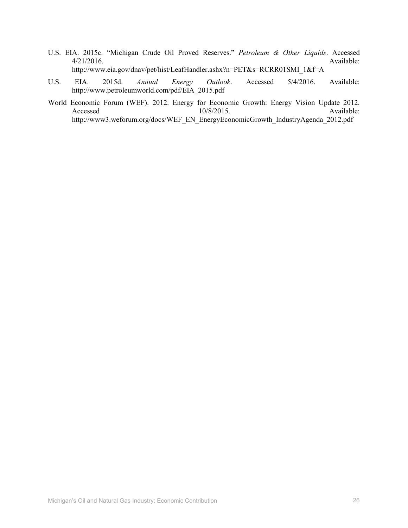- U.S. EIA. 2015c. "Michigan Crude Oil Proved Reserves." *Petroleum & Other Liquids*. Accessed 4/21/2016. Available: http://www.eia.gov/dnav/pet/hist/LeafHandler.ashx?n=PET&s=RCRR01SMI\_1&f=A
- U.S. EIA. 2015d. *Annual Energy Outlook*. Accessed 5/4/2016. Available: http://www.petroleumworld.com/pdf/EIA\_2015.pdf
- World Economic Forum (WEF). 2012. Energy for Economic Growth: Energy Vision Update 2012.<br>Available: Available: Accessed 10/8/2015. Available: http://www3.weforum.org/docs/WEF\_EN\_EnergyEconomicGrowth\_IndustryAgenda\_2012.pdf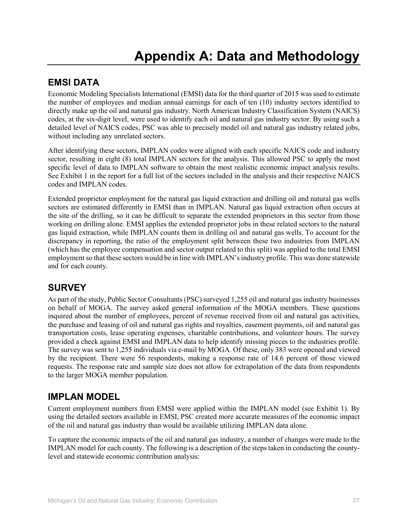## **EMSI DATA**

Economic Modeling Specialists International (EMSI) data for the third quarter of 2015 was used to estimate the number of employees and median annual earnings for each of ten (10) industry sectors identified to directly make up the oil and natural gas industry. North American Industry Classification System (NAICS) codes, at the six-digit level, were used to identify each oil and natural gas industry sector. By using such a detailed level of NAICS codes, PSC was able to precisely model oil and natural gas industry related jobs, without including any unrelated sectors.

After identifying these sectors, IMPLAN codes were aligned with each specific NAICS code and industry sector, resulting in eight (8) total IMPLAN sectors for the analysis. This allowed PSC to apply the most specific level of data to IMPLAN software to obtain the most realistic economic impact analysis results. See Exhibit 1 in the report for a full list of the sectors included in the analysis and their respective NAICS codes and IMPLAN codes.

Extended proprietor employment for the natural gas liquid extraction and drilling oil and natural gas wells sectors are estimated differently in EMSI than in IMPLAN. Natural gas liquid extraction often occurs at the site of the drilling, so it can be difficult to separate the extended proprietors in this sector from those working on drilling alone. EMSI applies the extended proprietor jobs in these related sectors to the natural gas liquid extraction, while IMPLAN counts them in drilling oil and natural gas wells. To account for the discrepancy in reporting, the ratio of the employment split between these two industries from IMPLAN (which has the employee compensation and sector output related to this split) was applied to the total EMSI employment so that these sectors would be in line with IMPLAN'sindustry profile. This was done statewide and for each county.

## **SURVEY**

As part of the study, Public Sector Consultants (PSC) surveyed 1,255 oil and natural gas industry businesses on behalf of MOGA. The survey asked general information of the MOGA members. These questions inquired about the number of employees, percent of revenue received from oil and natural gas activities, the purchase and leasing of oil and natural gas rights and royalties, easement payments, oil and natural gas transportation costs, lease operating expenses, charitable contributions, and volunteer hours. The survey provided a check against EMSI and IMPLAN data to help identify missing pieces to the industries profile. The survey was sent to 1,255 individuals via e-mail by MOGA. Of these, only 383 were opened and viewed by the recipient. There were 56 respondents, making a response rate of 14.6 percent of those viewed requests. The response rate and sample size does not allow for extrapolation of the data from respondents to the larger MOGA member population.

## **IMPLAN MODEL**

Current employment numbers from EMSI were applied within the IMPLAN model (see Exhibit 1). By using the detailed sectors available in EMSI, PSC created more accurate measures of the economic impact of the oil and natural gas industry than would be available utilizing IMPLAN data alone.

To capture the economic impacts of the oil and natural gas industry, a number of changes were made to the IMPLAN model for each county. The following is a description of the steps taken in conducting the countylevel and statewide economic contribution analysis: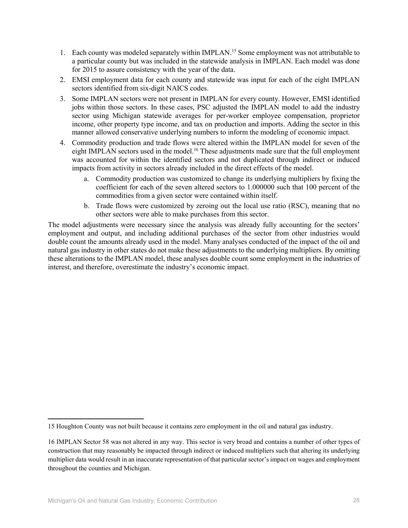- 1. Each county was modeled separately within IMPLAN.<sup>15</sup> Some employment was not attributable to a particular county but was included in the statewide analysis in IMPLAN. Each model was done for 2015 to assure consistency with the year of the data.
- 2. EMSI employment data for each county and statewide was input for each of the eight IMPLAN sectors identified from six-digit NAICS codes.
- 3. Some IMPLAN sectors were not present in IMPLAN for every county. However, EMSI identified jobs within those sectors. In these cases, PSC adjusted the IMPLAN model to add the industry sector using Michigan statewide averages for per-worker employee compensation, proprietor income, other property type income, and tax on production and imports. Adding the sector in this manner allowed conservative underlying numbers to inform the modeling of economic impact.
- 4. Commodity production and trade flows were altered within the IMPLAN model for seven of the eight IMPLAN sectors used in the model.<sup>16</sup> These adjustments made sure that the full employment was accounted for within the identified sectors and not duplicated through indirect or induced impacts from activity in sectors already included in the direct effects of the model.
	- a. Commodity production was customized to change its underlying multipliers by fixing the coefficient for each of the seven altered sectors to 1.000000 such that 100 percent of the commodities from a given sector were contained within itself.
	- b. Trade flows were customized by zeroing out the local use ratio (RSC), meaning that no other sectors were able to make purchases from this sector.

The model adjustments were necessary since the analysis was already fully accounting for the sectors' employment and output, and including additional purchases of the sector from other industries would double count the amounts already used in the model. Many analyses conducted of the impact of the oil and natural gas industry in other states do not make these adjustments to the underlying multipliers. By omitting these alterations to the IMPLAN model, these analyses double count some employment in the industries of interest, and therefore, overestimate the industry's economic impact.

l

<sup>15</sup> Houghton County was not built because it contains zero employment in the oil and natural gas industry.

<sup>16</sup> IMPLAN Sector 58 was not altered in any way. This sector is very broad and contains a number of other types of construction that may reasonably be impacted through indirect or induced multipliers such that altering its underlying multiplier data would result in an inaccurate representation of that particular sector's impact on wages and employment throughout the counties and Michigan.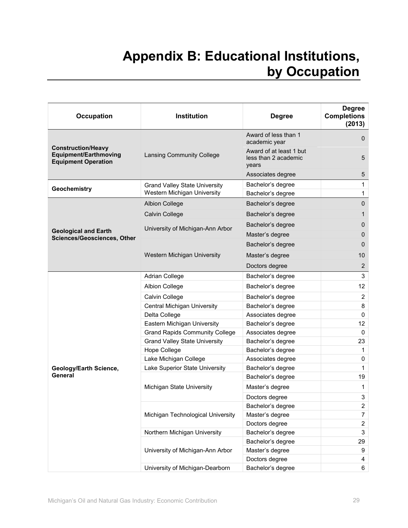# **Appendix B: Educational Institutions, by Occupation**

| <b>Occupation</b>                                                                | Institution                           | <b>Degree</b>                                            | <b>Degree</b><br><b>Completions</b><br>(2013) |
|----------------------------------------------------------------------------------|---------------------------------------|----------------------------------------------------------|-----------------------------------------------|
|                                                                                  |                                       | Award of less than 1<br>academic year                    | 0                                             |
| <b>Construction/Heavy</b><br>Equipment/Earthmoving<br><b>Equipment Operation</b> | Lansing Community College             | Award of at least 1 but<br>less than 2 academic<br>years | 5                                             |
|                                                                                  |                                       | Associates degree                                        | 5                                             |
|                                                                                  | <b>Grand Valley State University</b>  | Bachelor's degree                                        | 1                                             |
| Geochemistry                                                                     | Western Michigan University           | Bachelor's degree                                        | 1                                             |
|                                                                                  | <b>Albion College</b>                 | Bachelor's degree                                        | $\mathbf 0$                                   |
|                                                                                  | Calvin College                        | Bachelor's degree                                        | 1                                             |
|                                                                                  |                                       | Bachelor's degree                                        | 0                                             |
| <b>Geological and Earth</b>                                                      | University of Michigan-Ann Arbor      | Master's degree                                          | 0                                             |
| <b>Sciences/Geosciences, Other</b>                                               |                                       | Bachelor's degree                                        | $\mathbf 0$                                   |
|                                                                                  | Western Michigan University           | Master's degree                                          | 10                                            |
|                                                                                  |                                       | Doctors degree                                           | 2                                             |
|                                                                                  | Adrian College                        | Bachelor's degree                                        | 3                                             |
|                                                                                  | Albion College                        | Bachelor's degree                                        | 12                                            |
|                                                                                  | Calvin College                        | Bachelor's degree                                        | 2                                             |
|                                                                                  | <b>Central Michigan University</b>    | Bachelor's degree                                        | 8                                             |
|                                                                                  | Delta College                         | Associates degree                                        | $\mathbf{0}$                                  |
|                                                                                  | Eastern Michigan University           | Bachelor's degree                                        | 12                                            |
|                                                                                  | <b>Grand Rapids Community College</b> | Associates degree                                        | 0                                             |
|                                                                                  | <b>Grand Valley State University</b>  | Bachelor's degree                                        | 23                                            |
|                                                                                  | Hope College                          | Bachelor's degree                                        | 1                                             |
|                                                                                  | Lake Michigan College                 | Associates degree                                        | $\mathbf 0$                                   |
| Geology/Earth Science,                                                           | Lake Superior State University        | Bachelor's degree                                        | 1                                             |
| General                                                                          |                                       | Bachelor's degree                                        | 19                                            |
|                                                                                  | Michigan State University             | Master's degree                                          | 1                                             |
|                                                                                  |                                       | Doctors degree                                           | 3                                             |
|                                                                                  |                                       | Bachelor's degree                                        | $\overline{\mathbf{c}}$                       |
|                                                                                  | Michigan Technological University     | Master's degree                                          | $\overline{7}$                                |
|                                                                                  |                                       | Doctors degree                                           | $\overline{2}$                                |
|                                                                                  | Northern Michigan University          | Bachelor's degree                                        | $\sqrt{3}$                                    |
|                                                                                  |                                       | Bachelor's degree                                        | 29                                            |
|                                                                                  | University of Michigan-Ann Arbor      | Master's degree                                          | 9                                             |
|                                                                                  |                                       | Doctors degree                                           | 4                                             |
|                                                                                  | University of Michigan-Dearborn       | Bachelor's degree                                        | 6                                             |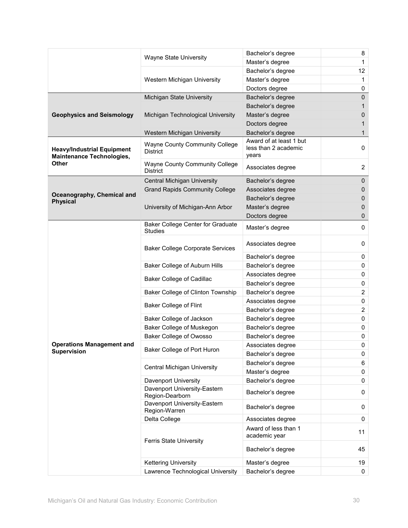|                                                                       |                                                          | Bachelor's degree                                        | 8              |
|-----------------------------------------------------------------------|----------------------------------------------------------|----------------------------------------------------------|----------------|
|                                                                       | Wayne State University                                   | Master's degree                                          | 1              |
|                                                                       |                                                          | Bachelor's degree                                        | 12             |
|                                                                       | Western Michigan University                              | Master's degree                                          | $\mathbf{1}$   |
|                                                                       |                                                          | Doctors degree                                           | 0              |
|                                                                       | Michigan State University                                | Bachelor's degree                                        | 0              |
|                                                                       |                                                          | Bachelor's degree                                        | 1              |
| <b>Geophysics and Seismology</b>                                      | Michigan Technological University                        | Master's degree                                          | 0              |
|                                                                       |                                                          | Doctors degree                                           | 1              |
|                                                                       | Western Michigan University                              | Bachelor's degree                                        | 1              |
| <b>Heavy/Industrial Equipment</b><br><b>Maintenance Technologies,</b> | Wayne County Community College<br><b>District</b>        | Award of at least 1 but<br>less than 2 academic<br>years | 0              |
| Other                                                                 | <b>Wayne County Community College</b><br><b>District</b> | Associates degree                                        | $\overline{2}$ |
|                                                                       | Central Michigan University                              | Bachelor's degree                                        | 0              |
|                                                                       | <b>Grand Rapids Community College</b>                    | Associates degree                                        | 0              |
| Oceanography, Chemical and<br><b>Physical</b>                         |                                                          | Bachelor's degree                                        | 0              |
|                                                                       | University of Michigan-Ann Arbor                         | Master's degree                                          | 0              |
|                                                                       |                                                          | Doctors degree                                           | 0              |
|                                                                       | Baker College Center for Graduate<br><b>Studies</b>      | Master's degree                                          | 0              |
|                                                                       | <b>Baker College Corporate Services</b>                  | Associates degree                                        | 0              |
|                                                                       |                                                          | Bachelor's degree                                        | 0              |
|                                                                       | Baker College of Auburn Hills                            | Bachelor's degree                                        | 0              |
|                                                                       | <b>Baker College of Cadillac</b>                         | Associates degree                                        | 0              |
|                                                                       |                                                          | Bachelor's degree                                        | 0              |
|                                                                       | Baker College of Clinton Township                        | Bachelor's degree                                        | $\overline{2}$ |
|                                                                       | Baker College of Flint                                   | Associates degree                                        | 0              |
|                                                                       |                                                          | Bachelor's degree                                        | $\overline{2}$ |
|                                                                       | Baker College of Jackson                                 | Bachelor's degree                                        | 0              |
|                                                                       | Baker College of Muskegon                                | Bachelor's degree                                        | 0              |
|                                                                       | Baker College of Owosso                                  | Bachelor's degree                                        | 0              |
| <b>Operations Management and</b>                                      | Baker College of Port Huron                              | Associates degree                                        | 0              |
| <b>Supervision</b>                                                    |                                                          | Bachelor's degree                                        | 0              |
|                                                                       | Central Michigan University                              | Bachelor's degree                                        | 6              |
|                                                                       |                                                          | Master's degree                                          | 0              |
|                                                                       | Davenport University                                     | Bachelor's degree                                        | 0              |
|                                                                       | Davenport University-Eastern<br>Region-Dearborn          | Bachelor's degree                                        | 0              |
|                                                                       | Davenport University-Eastern<br>Region-Warren            | Bachelor's degree                                        | 0              |
|                                                                       | Delta College                                            | Associates degree                                        | 0              |
|                                                                       | Ferris State University                                  | Award of less than 1<br>academic year                    | 11             |
|                                                                       |                                                          | Bachelor's degree                                        | 45             |
|                                                                       | <b>Kettering University</b>                              | Master's degree                                          | 19             |
|                                                                       | Lawrence Technological University                        | Bachelor's degree                                        | 0              |